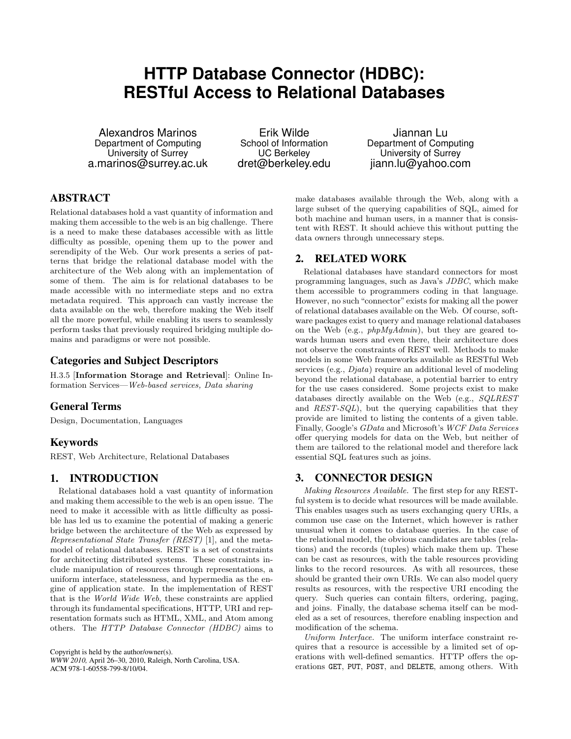# **HTTP Database Connector (HDBC): RESTful Access to Relational Databases**

Alexandros Marinos Department of Computing University of Surrey a.marinos@surrey.ac.uk

Erik Wilde School of Information UC Berkeley dret@berkeley.edu

Jiannan Lu Department of Computing University of Surrey jiann.lu@yahoo.com

# ABSTRACT

Relational databases hold a vast quantity of information and making them accessible to the web is an big challenge. There is a need to make these databases accessible with as little difficulty as possible, opening them up to the power and serendipity of the Web. Our work presents a series of patterns that bridge the relational database model with the architecture of the Web along with an implementation of some of them. The aim is for relational databases to be made accessible with no intermediate steps and no extra metadata required. This approach can vastly increase the data available on the web, therefore making the Web itself all the more powerful, while enabling its users to seamlessly perform tasks that previously required bridging multiple domains and paradigms or were not possible.

# Categories and Subject Descriptors

H.3.5 [Information Storage and Retrieval]: Online Information Services—Web-based services, Data sharing

# General Terms

Design, Documentation, Languages

# Keywords

REST, Web Architecture, Relational Databases

# 1. INTRODUCTION

Relational databases hold a vast quantity of information and making them accessible to the web is an open issue. The need to make it accessible with as little difficulty as possible has led us to examine the potential of making a generic bridge between the architecture of the Web as expressed by Representational State Transfer (REST) [\[1\]](#page-1-0), and the metamodel of relational databases. REST is a set of constraints for architecting distributed systems. These constraints include manipulation of resources through representations, a uniform interface, statelessness, and hypermedia as the engine of application state. In the implementation of REST that is the World Wide Web, these constraints are applied through its fundamental specifications, HTTP, URI and representation formats such as HTML, XML, and Atom among others. The HTTP Database Connector (HDBC) aims to

Copyright is held by the author/owner(s). *WWW 2010,* April 26–30, 2010, Raleigh, North Carolina, USA. ACM 978-1-60558-799-8/10/04.

make databases available through the Web, along with a large subset of the querying capabilities of SQL, aimed for both machine and human users, in a manner that is consistent with REST. It should achieve this without putting the data owners through unnecessary steps.

#### 2. RELATED WORK

Relational databases have standard connectors for most programming languages, such as Java's JDBC, which make them accessible to programmers coding in that language. However, no such "connector" exists for making all the power of relational databases available on the Web. Of course, software packages exist to query and manage relational databases on the Web (e.g., phpMyAdmin), but they are geared towards human users and even there, their architecture does not observe the constraints of REST well. Methods to make models in some Web frameworks available as RESTful Web services (e.g.,  $Djata$ ) require an additional level of modeling beyond the relational database, a potential barrier to entry for the use cases considered. Some projects exist to make databases directly available on the Web (e.g., SQLREST and  $REST-SQL$ , but the querying capabilities that they provide are limited to listing the contents of a given table. Finally, Google's GData and Microsoft's WCF Data Services offer querying models for data on the Web, but neither of them are tailored to the relational model and therefore lack essential SQL features such as joins.

# 3. CONNECTOR DESIGN

Making Resources Available. The first step for any RESTful system is to decide what resources will be made available. This enables usages such as users exchanging query URIs, a common use case on the Internet, which however is rather unusual when it comes to database queries. In the case of the relational model, the obvious candidates are tables (relations) and the records (tuples) which make them up. These can be cast as resources, with the table resources providing links to the record resources. As with all resources, these should be granted their own URIs. We can also model query results as resources, with the respective URI encoding the query. Such queries can contain filters, ordering, paging, and joins. Finally, the database schema itself can be modeled as a set of resources, therefore enabling inspection and modification of the schema.

Uniform Interface. The uniform interface constraint requires that a resource is accessible by a limited set of operations with well-defined semantics. HTTP offers the operations GET, PUT, POST, and DELETE, among others. With